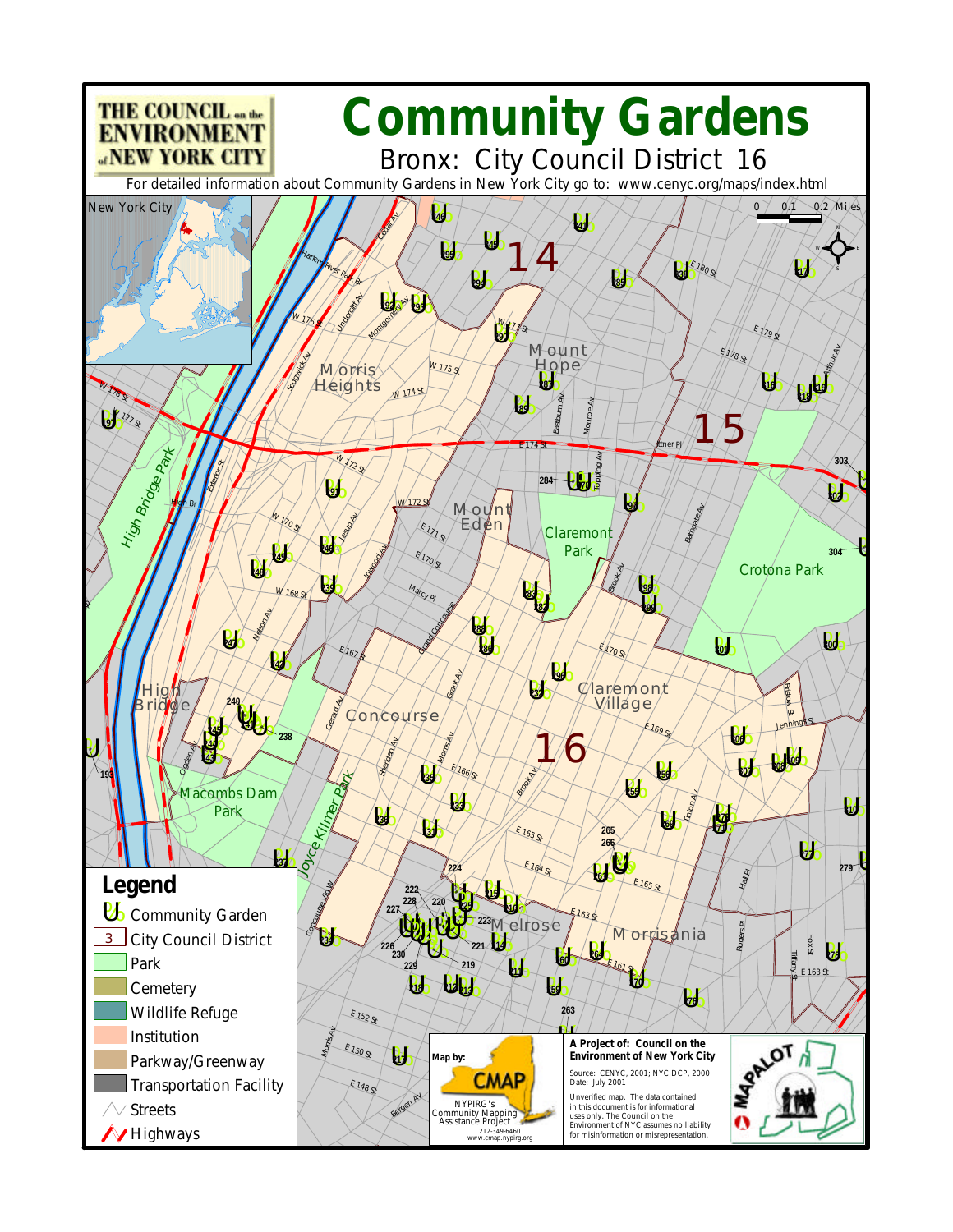